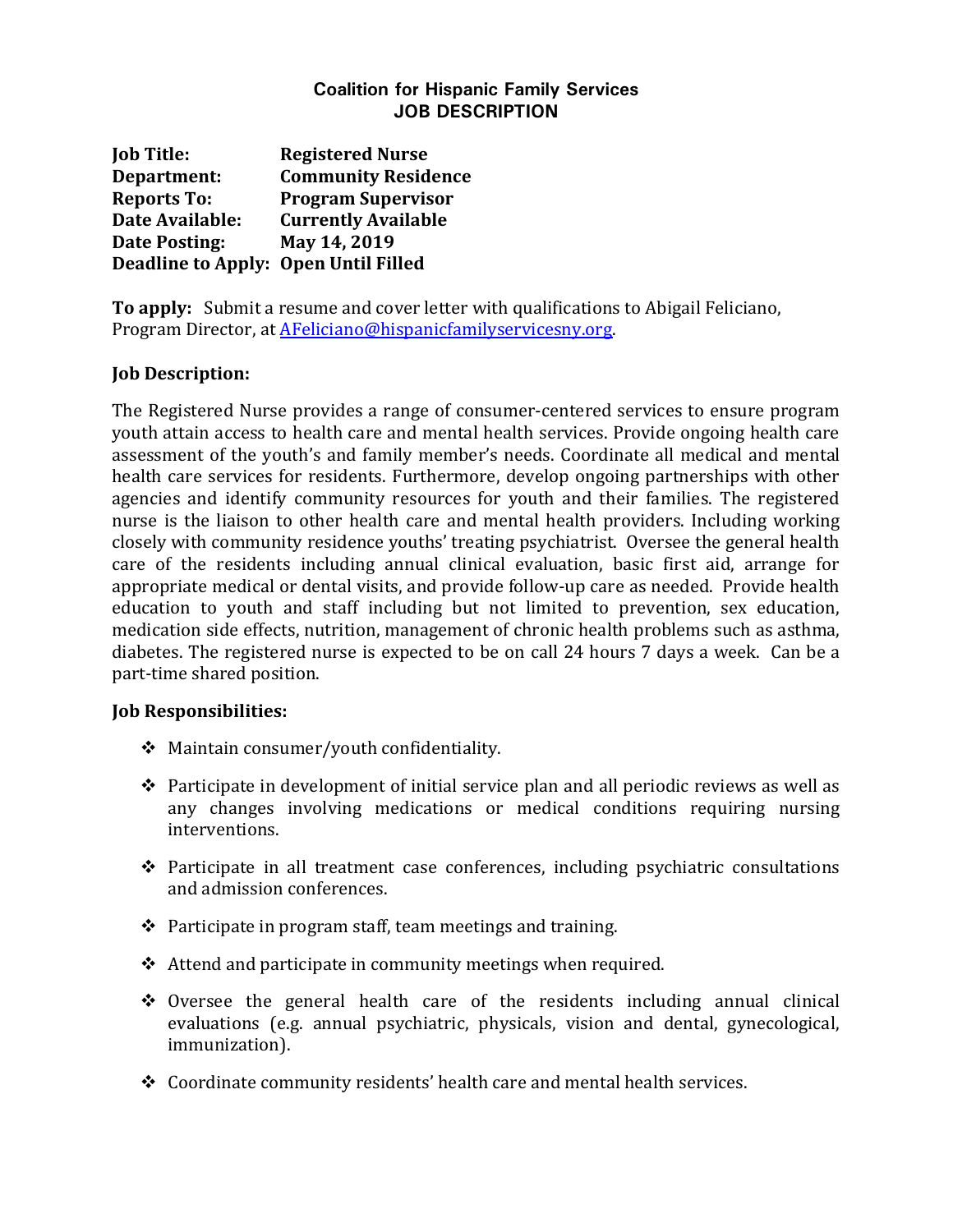## **Coalition for Hispanic Family Services JOB DESCRIPTION**

**Job Title: Registered Nurse Department: Community Residence Reports To: Program Supervisor Date Available: Currently Available Date Posting: May 14, 2019 Deadline to Apply: Open Until Filled**

**To apply:** Submit a resume and cover letter with qualifications to Abigail Feliciano, Program Director, at [AFeliciano@hispanicfamilyservicesny.org.](mailto:AFeliciano@hispanicfamilyservicesny.org)

## **Job Description:**

The Registered Nurse provides a range of consumer-centered services to ensure program youth attain access to health care and mental health services. Provide ongoing health care assessment of the youth's and family member's needs. Coordinate all medical and mental health care services for residents. Furthermore, develop ongoing partnerships with other agencies and identify community resources for youth and their families. The registered nurse is the liaison to other health care and mental health providers. Including working closely with community residence youths' treating psychiatrist. Oversee the general health care of the residents including annual clinical evaluation, basic first aid, arrange for appropriate medical or dental visits, and provide follow-up care as needed. Provide health education to youth and staff including but not limited to prevention, sex education, medication side effects, nutrition, management of chronic health problems such as asthma, diabetes. The registered nurse is expected to be on call 24 hours 7 days a week. Can be a part-time shared position.

## **Job Responsibilities:**

- Maintain consumer/youth confidentiality.
- $\triangle$  Participate in development of initial service plan and all periodic reviews as well as any changes involving medications or medical conditions requiring nursing interventions.
- $\div$  Participate in all treatment case conferences, including psychiatric consultations and admission conferences.
- $\triangle$  Participate in program staff, team meetings and training.
- $\triangle$  Attend and participate in community meetings when required.
- $\div$  Oversee the general health care of the residents including annual clinical evaluations (e.g. annual psychiatric, physicals, vision and dental, gynecological, immunization).
- Coordinate community residents' health care and mental health services.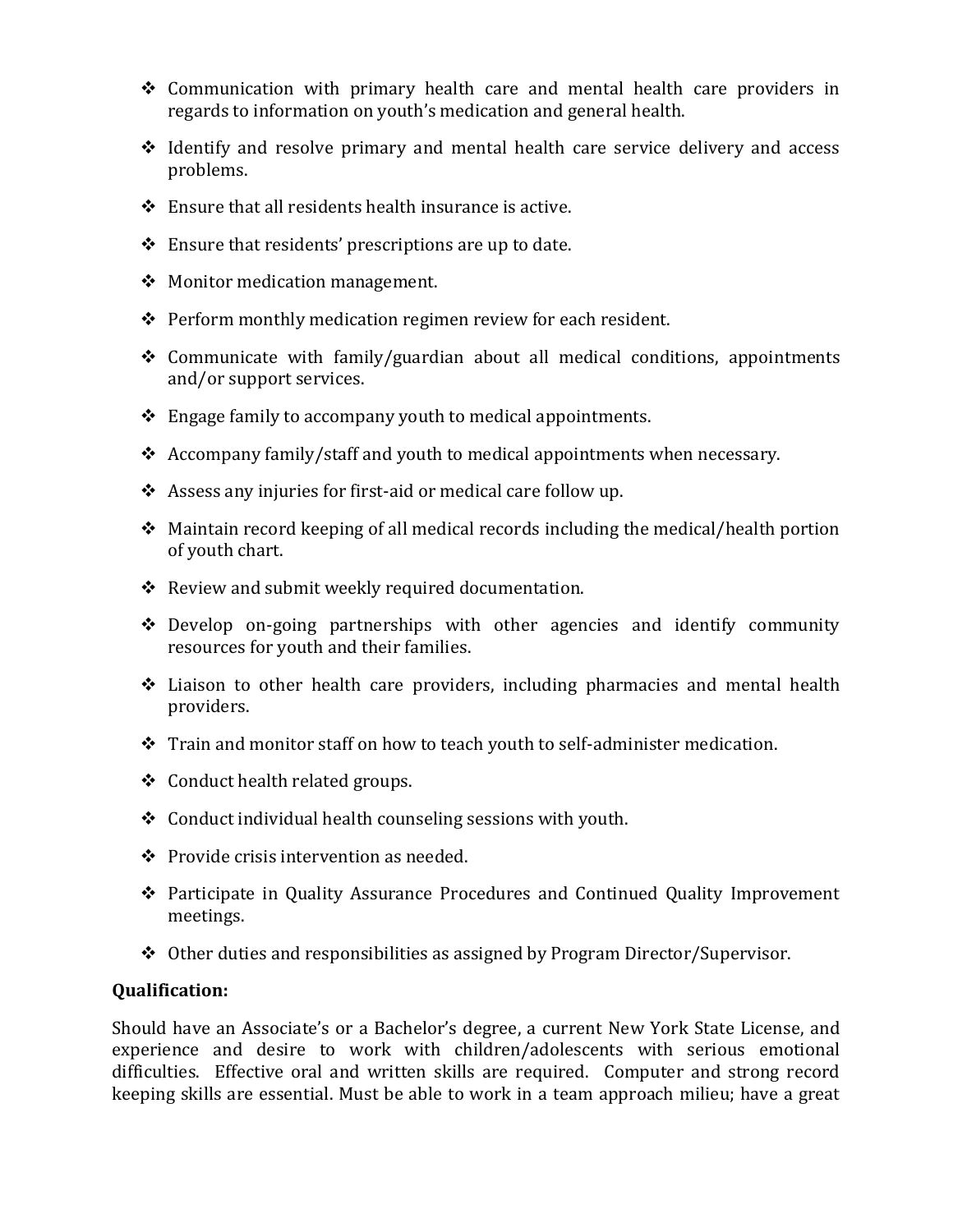- $\triangle$  Communication with primary health care and mental health care providers in regards to information on youth's medication and general health.
- $\triangle$  Identify and resolve primary and mental health care service delivery and access problems.
- $\div$  Ensure that all residents health insurance is active.
- Ensure that residents' prescriptions are up to date.
- $\div$  Monitor medication management.
- ❖ Perform monthly medication regimen review for each resident.
- $\triangle$  Communicate with family/guardian about all medical conditions, appointments and/or support services.
- \* Engage family to accompany youth to medical appointments.
- Accompany family/staff and youth to medical appointments when necessary.
- Assess any injuries for first-aid or medical care follow up.
- $\div$  Maintain record keeping of all medical records including the medical/health portion of youth chart.
- \* Review and submit weekly required documentation.
- $\triangle$  Develop on-going partnerships with other agencies and identify community resources for youth and their families.
- Liaison to other health care providers, including pharmacies and mental health providers.
- \* Train and monitor staff on how to teach youth to self-administer medication.
- ❖ Conduct health related groups.
- $\triangle$  Conduct individual health counseling sessions with youth.
- ❖ Provide crisis intervention as needed.
- Participate in Quality Assurance Procedures and Continued Quality Improvement meetings.
- Other duties and responsibilities as assigned by Program Director/Supervisor.

## **Qualification:**

Should have an Associate's or a Bachelor's degree, a current New York State License, and experience and desire to work with children/adolescents with serious emotional difficulties. Effective oral and written skills are required. Computer and strong record keeping skills are essential. Must be able to work in a team approach milieu; have a great